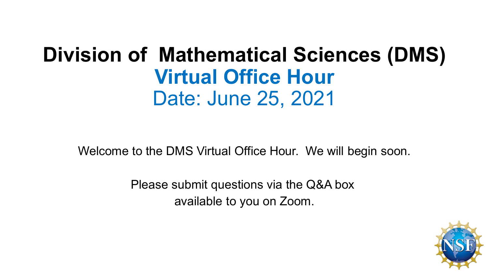## **Division of Mathematical Sciences (DMS) Virtual Office Hour** Date: June 25, 2021

Welcome to the DMS Virtual Office Hour. We will begin soon.

Please submit questions via the Q&A box available to you on Zoom.

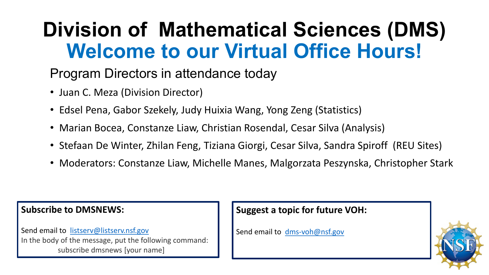# **Division of Mathematical Sciences (DMS) Welcome to our Virtual Office Hours!**

#### Program Directors in attendance today

- Juan C. Meza (Division Director)
- Edsel Pena, Gabor Szekely, Judy Huixia Wang, Yong Zeng (Statistics)
- Marian Bocea, Constanze Liaw, Christian Rosendal, Cesar Silva (Analysis)
- Stefaan De Winter, Zhilan Feng, Tiziana Giorgi, Cesar Silva, Sandra Spiroff (REU Sites)
- Moderators: Constanze Liaw, Michelle Manes, Malgorzata Peszynska, Christopher Stark

#### **Subscribe to DMSNEWS:**

Send email to [listserv@listserv.nsf.gov](mailto:listserv@listserv.nsf.gov) In the body of the message, put the following command: subscribe dmsnews [your name]

#### **Suggest a topic for future VOH:**

Send email to [dms-voh@nsf.gov](mailto:dms-voh@nsf.gov)

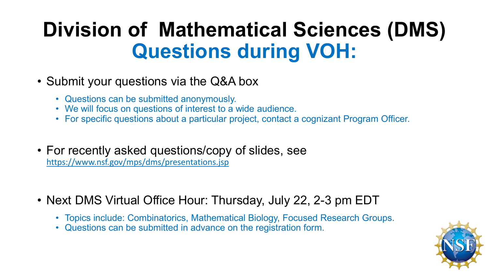## **Division of Mathematical Sciences (DMS) Questions during VOH:**

- Submit your questions via the Q&A box
	- Questions can be submitted anonymously.
	- We will focus on questions of interest to a wide audience.
	- For specific questions about a particular project, contact a cognizant Program Officer.
- For recently asked questions/copy of slides, see <https://www.nsf.gov/mps/dms/presentations.jsp>
- Next DMS Virtual Office Hour: Thursday, July 22, 2-3 pm EDT
	- Topics include: Combinatorics, Mathematical Biology, Focused Research Groups.
	- Questions can be submitted in advance on the registration form.

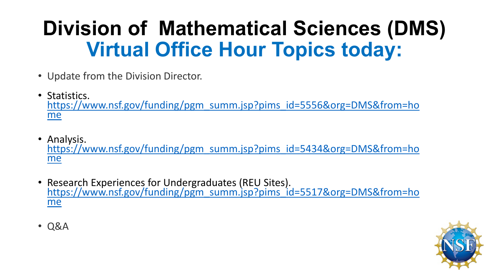# **Division of Mathematical Sciences (DMS) Virtual Office Hour Topics today:**

- Update from the Division Director.
- Statistics.<br><u>https://www.nsf.gov/funding/pgm\_summ.jsp?pims\_id=5556&org=DMS&from=ho</u> me
- Analysis. [https://www.nsf.gov/funding/pgm\\_summ.jsp?pims\\_id=5434&org=DMS&from=ho](https://www.nsf.gov/funding/pgm_summ.jsp?pims_id=5434&org=DMS&from=home) me
- Research Experiences for Undergraduates (REU Sites). [https://www.nsf.gov/funding/pgm\\_summ.jsp?pims\\_id=5517&org=DMS&from=ho](https://www.nsf.gov/funding/pgm_summ.jsp?pims_id=5517&org=DMS&from=home) me



• Q&A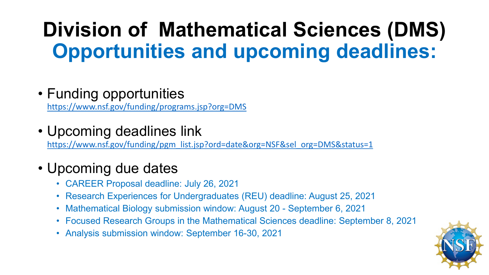# **Division of Mathematical Sciences (DMS) Opportunities and upcoming deadlines:**

#### • Funding opportunities

<https://www.nsf.gov/funding/programs.jsp?org=DMS>

• Upcoming deadlines link

[https://www.nsf.gov/funding/pgm\\_list.jsp?ord=date&org=NSF&sel\\_org=DMS&status=1](https://www.nsf.gov/funding/pgm_list.jsp?ord=date&org=NSF&sel_org=DMS&status=1)

#### • Upcoming due dates

- CAREER Proposal deadline: July 26, 2021
- Research Experiences for Undergraduates (REU) deadline: August 25, 2021
- Mathematical Biology submission window: August 20 September 6, 2021
- Focused Research Groups in the Mathematical Sciences deadline: September 8, 2021
- Analysis submission window: September 16-30, 2021

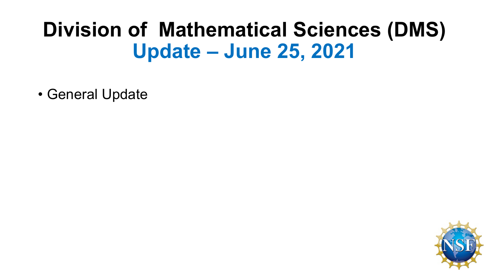## **Division of Mathematical Sciences (DMS) Update – June 25, 2021**

• General Update

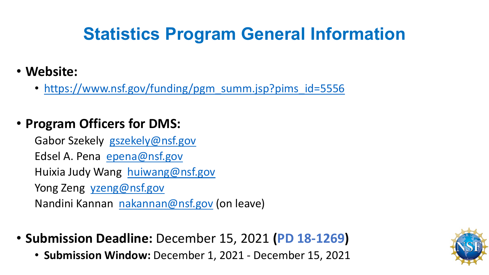## **Statistics Program General Information**

- **Website:** 
	- [https://www.nsf.gov/funding/pgm\\_summ.jsp?pims\\_id=5556](https://www.nsf.gov/funding/pgm_summ.jsp?pims_id=5556)

#### • **Program Officers for DMS:**

Gabor Szekely [gszekely@nsf.gov](mailto:gszekely@nsf.gov) Edsel A. Pena [epena@nsf.gov](mailto:epena@nsf.gov) Huixia Judy Wang [huiwang@nsf.gov](mailto:huiwang@nsf.gov) Yong Zeng [yzeng@nsf.gov](mailto:yzeng@nsf.gov) Nandini Kannan [nakannan@nsf.gov](mailto:nakannan@nsf.gov) (on leave)

- **Submission Deadline:** December 15, 2021 **(PD 18-1269)**
	- **Submission Window:** December 1, 2021 December 15, 2021

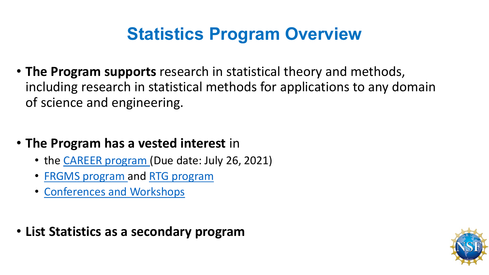### **Statistics Program Overview**

- **The Program supports** research in statistical theory and methods, including research in statistical methods for applications to any domain of science and engineering.
- **The Program has a vested interest** in
	- the [CAREER program](https://www.nsf.gov/funding/pgm_summ.jsp?pims_id=503214) (Due date: July 26, 2021)
	- [FRGMS program a](https://www.nsf.gov/funding/pgm_summ.jsp?pims_id=5671)nd [RTG program](https://www.nsf.gov/funding/pgm_summ.jsp?pims_id=5732)
	- [Conferences and Workshops](https://www.nsf.gov/funding/pgm_summ.jsp?pims_id=11701&org=NSF)
- **List Statistics as a secondary program**

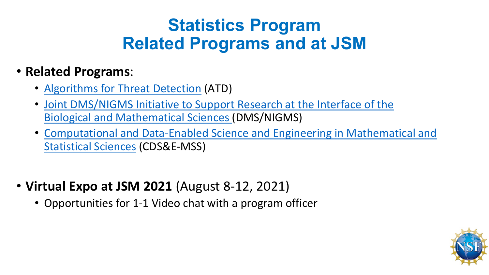### **Statistics Program Related Programs and at JSM**

#### • **Related Programs**:

- [Algorithms for Threat Detection](https://www.nsf.gov/funding/pgm_summ.jsp?pims_id=503427&org=NSF) (ATD)
- [Joint DMS/NIGMS Initiative to Support Research at the Interface of the](https://www.nsf.gov/funding/pgm_summ.jsp?pims_id=5300&org=NSF) Biological and Mathematical Sciences (DMS/NIGMS)
- [Computational and Data-Enabled Science and Engineering in Mathematical and](https://www.nsf.gov/funding/pgm_summ.jsp?pims_id=504687&org=NSF)  Statistical Sciences (CDS&E-MSS)
- **Virtual Expo at JSM 2021** (August 8-12, 2021)
	- Opportunities for 1-1 Video chat with a program officer

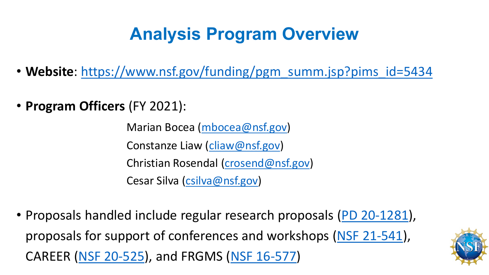## **Analysis Program Overview**

- Website: [https://www.nsf.gov/funding/pgm\\_summ.jsp?pims\\_id=5434](https://www.nsf.gov/funding/pgm_summ.jsp?pims_id=5434)
- **Program Officers** (FY 2021):

Marian Bocea ([mbocea@nsf.gov\)](mailto:mbocea@nsf.gov) Constanze Liaw [\(cliaw@nsf.gov\)](mailto:mbocea@nsf.gov) Christian Rosendal [\(crosend@nsf.gov](mailto:mbocea@nsf.gov)) Cesar Silva [\(csilva@nsf.gov\)](mailto:mbocea@nsf.gov)

• Proposals handled include regular research proposals [\(PD 20-1281](https://www.nsf.gov/funding/pgm_summ.jsp?pims_id=5434)), proposals for support of conferences and workshops ([NSF 21-541](https://www.nsf.gov/pubs/2021/nsf21541/nsf21541.htm)), CAREER [\(NSF 20-525\)](https://www.nsf.gov/pubs/2020/nsf20525/nsf20525.htm), and FRGMS ([NSF 16-577](https://www.nsf.gov/pubs/2016/nsf16577/nsf16577.htm))

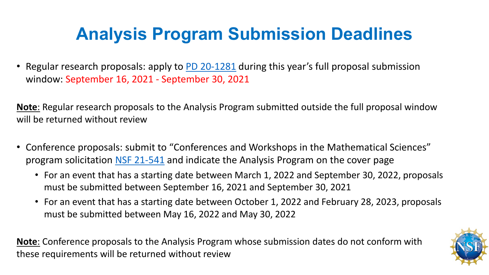## **Analysis Program Submission Deadlines**

• Regular research proposals: apply to [PD 20-1281](https://www.nsf.gov/funding/pgm_summ.jsp?pims_id=5434) during this year's full proposal submission window: September 16, 2021 - September 30, 2021

**Note**: Regular research proposals to the Analysis Program submitted outside the full proposal window will be returned without review

- Conference proposals: submit to "Conferences and Workshops in the Mathematical Sciences" program solicitation [NSF 21-541](https://www.nsf.gov/pubs/2021/nsf21541/nsf21541.htm) and indicate the Analysis Program on the cover page
	- For an event that has a starting date between March 1, 2022 and September 30, 2022, proposals must be submitted between September 16, 2021 and September 30, 2021
	- For an event that has a starting date between October 1, 2022 and February 28, 2023, proposals must be submitted between May 16, 2022 and May 30, 2022

**Note**: Conference proposals to the Analysis Program whose submission dates do not conform with these requirements will be returned without review

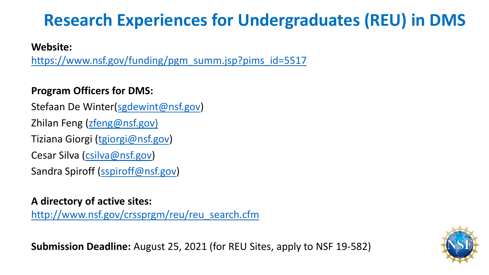### **Research Experiences for Undergraduates (REU) in DMS**

**Website:** 

[https://www.nsf.gov/funding/pgm\\_summ.jsp?pims\\_id=5517](https://www.nsf.gov/funding/pgm_summ.jsp?pims_id=5517)

#### **Program Officers for DMS:**

Stefaan De Winter([sgdewint@nsf.gov](mailto:sgdewint@nsf.gov)) Zhilan Feng [\(zfeng@nsf.gov\)](mailto:zfeng@nsf.gov) Tiziana Giorgi ([tgiorgi@nsf.gov](mailto:tgiorgi@nsf.gov)) Cesar Silva ([csilva@nsf.gov\)](mailto:csilva@nsf.gov) Sandra Spiroff ([sspiroff@nsf.gov](mailto:sspiroff@nsf.gov))

**A directory of active sites:** 

[http://www.nsf.gov/crssprgm/reu/reu\\_search.cfm](http://www.nsf.gov/crssprgm/reu/reu_search.cfm)

**Submission Deadline:** August 25, 2021 (for REU Sites, apply to NSF 19-582)

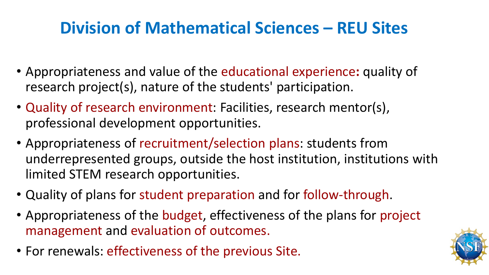### **Division of Mathematical Sciences – REU Sites**

- Appropriateness and value of the educational experience**:** quality of research project(s), nature of the students' participation.
- Quality of research environment: Facilities, research mentor(s), professional development opportunities.
- Appropriateness of recruitment/selection plans: students from underrepresented groups, outside the host institution, institutions with limited STEM research opportunities.
- Quality of plans for student preparation and for follow-through.
- Appropriateness of the budget, effectiveness of the plans for project management and evaluation of outcomes.
- For renewals: effectiveness of the previous Site.

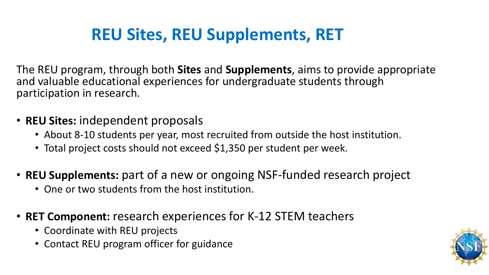### **REU Sites, REU Supplements, RET**

The REU program, through both **Sites** and **Supplements**, aims to provide appropriate and valuable educational experiences for undergraduate students through participation in research.

- **REU Sites:** independent proposals
	- About 8-10 students per year, most recruited from outside the host institution.
	- Total project costs should not exceed \$1,350 per student per week.
- **REU Supplements:** part of a new or ongoing NSF-funded research project
	- One or two students from the host institution.
- **RET Component:** research experiences for K-12 STEM teachers
	- Coordinate with REU projects
	- Contact REU program officer for guidance

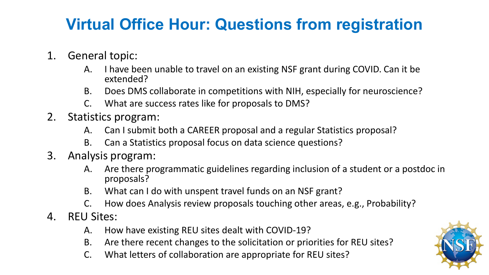#### **Virtual Office Hour: Questions from registration**

- 1. General topic:
	- A. I have been unable to travel on an existing NSF grant during COVID. Can it be extended?
	- B. Does DMS collaborate in competitions with NIH, especially for neuroscience?
	- C. What are success rates like for proposals to DMS?
- 2. Statistics program:
	- A. Can I submit both a CAREER proposal and a regular Statistics proposal?
	- B. Can a Statistics proposal focus on data science questions?
- 3. Analysis program:
	- A. Are there programmatic guidelines regarding inclusion of a student or a postdoc in proposals?
	- B. What can I do with unspent travel funds on an NSF grant?
	- C. How does Analysis review proposals touching other areas, e.g., Probability?
- 4. REU Sites:
	- A. How have existing REU sites dealt with COVID-19?
	- B. Are there recent changes to the solicitation or priorities for REU sites?
	- C. What letters of collaboration are appropriate for REU sites?